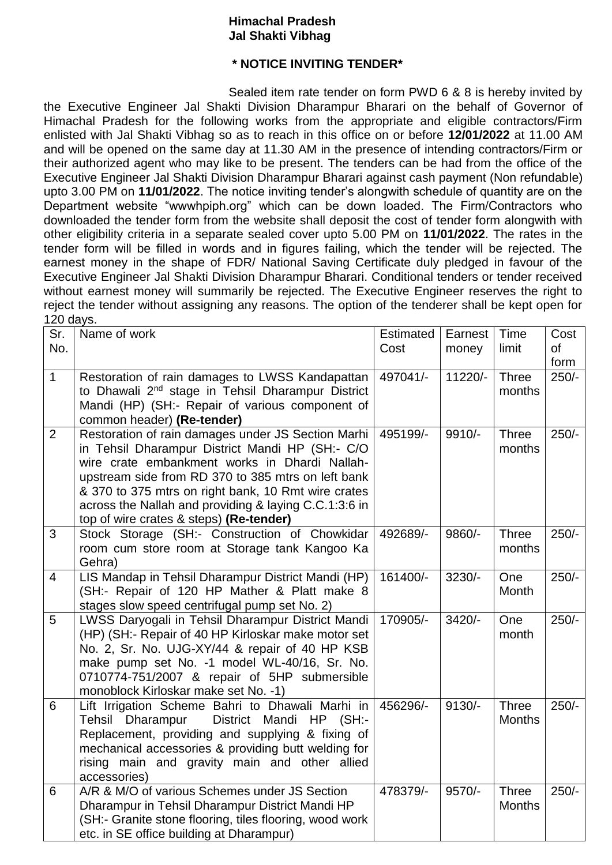## **Himachal Pradesh Jal Shakti Vibhag**

## **\* NOTICE INVITING TENDER\***

Sealed item rate tender on form PWD 6 & 8 is hereby invited by the Executive Engineer Jal Shakti Division Dharampur Bharari on the behalf of Governor of Himachal Pradesh for the following works from the appropriate and eligible contractors/Firm enlisted with Jal Shakti Vibhag so as to reach in this office on or before **12/01/2022** at 11.00 AM and will be opened on the same day at 11.30 AM in the presence of intending contractors/Firm or their authorized agent who may like to be present. The tenders can be had from the office of the Executive Engineer Jal Shakti Division Dharampur Bharari against cash payment (Non refundable) upto 3.00 PM on **11/01/2022**. The notice inviting tender's alongwith schedule of quantity are on the Department website "wwwhpiph.org" which can be down loaded. The Firm/Contractors who downloaded the tender form from the website shall deposit the cost of tender form alongwith with other eligibility criteria in a separate sealed cover upto 5.00 PM on **11/01/2022**. The rates in the tender form will be filled in words and in figures failing, which the tender will be rejected. The earnest money in the shape of FDR/ National Saving Certificate duly pledged in favour of the Executive Engineer Jal Shakti Division Dharampur Bharari. Conditional tenders or tender received without earnest money will summarily be rejected. The Executive Engineer reserves the right to reject the tender without assigning any reasons. The option of the tenderer shall be kept open for 120 days.

| Sr.            | Name of work                                                                                              | Estimated | Earnest  | Time                          | Cost      |
|----------------|-----------------------------------------------------------------------------------------------------------|-----------|----------|-------------------------------|-----------|
| No.            |                                                                                                           | Cost      | money    | limit                         | <b>of</b> |
|                |                                                                                                           |           |          |                               | form      |
| $\mathbf{1}$   | Restoration of rain damages to LWSS Kandapattan                                                           | 497041/-  | 11220/-  | <b>Three</b>                  | $250/-$   |
|                | to Dhawali 2 <sup>nd</sup> stage in Tehsil Dharampur District                                             |           |          | months                        |           |
|                | Mandi (HP) (SH:- Repair of various component of                                                           |           |          |                               |           |
|                | common header) (Re-tender)                                                                                |           |          |                               |           |
| $\overline{2}$ | Restoration of rain damages under JS Section Marhi                                                        | 495199/-  | 9910/-   | <b>Three</b>                  | $250/-$   |
|                | in Tehsil Dharampur District Mandi HP (SH:- C/O                                                           |           |          | months                        |           |
|                | wire crate embankment works in Dhardi Nallah-                                                             |           |          |                               |           |
|                | upstream side from RD 370 to 385 mtrs on left bank<br>& 370 to 375 mtrs on right bank, 10 Rmt wire crates |           |          |                               |           |
|                | across the Nallah and providing & laying C.C.1:3:6 in                                                     |           |          |                               |           |
|                | top of wire crates & steps) (Re-tender)                                                                   |           |          |                               |           |
| 3              | Stock Storage (SH:- Construction of Chowkidar                                                             | 492689/-  | 9860/-   | <b>Three</b>                  | $250/-$   |
|                | room cum store room at Storage tank Kangoo Ka                                                             |           |          | months                        |           |
|                | Gehra)                                                                                                    |           |          |                               |           |
| $\overline{4}$ | LIS Mandap in Tehsil Dharampur District Mandi (HP)                                                        | 161400/-  | $3230/-$ | One                           | $250/-$   |
|                | (SH:- Repair of 120 HP Mather & Platt make 8                                                              |           |          | Month                         |           |
|                | stages slow speed centrifugal pump set No. 2)                                                             |           |          |                               |           |
| 5              | LWSS Daryogali in Tehsil Dharampur District Mandi                                                         | 170905/-  | 3420/-   | One                           | $250/-$   |
|                | (HP) (SH:- Repair of 40 HP Kirloskar make motor set                                                       |           |          | month                         |           |
|                | No. 2, Sr. No. UJG-XY/44 & repair of 40 HP KSB                                                            |           |          |                               |           |
|                | make pump set No. -1 model WL-40/16, Sr. No.                                                              |           |          |                               |           |
|                | 0710774-751/2007 & repair of 5HP submersible                                                              |           |          |                               |           |
|                | monoblock Kirloskar make set No. -1)                                                                      |           |          |                               |           |
| 6              | Lift Irrigation Scheme Bahri to Dhawali Marhi in<br>Tehsil Dharampur<br>District Mandi<br>$HP$ (SH:-      | 456296/-  | $9130/-$ | <b>Three</b><br><b>Months</b> | $250/-$   |
|                | Replacement, providing and supplying & fixing of                                                          |           |          |                               |           |
|                | mechanical accessories & providing butt welding for                                                       |           |          |                               |           |
|                | rising main and gravity main and other allied                                                             |           |          |                               |           |
|                | accessories)                                                                                              |           |          |                               |           |
| 6              | A/R & M/O of various Schemes under JS Section                                                             | 478379/-  | 9570/-   | <b>Three</b>                  | $250/-$   |
|                | Dharampur in Tehsil Dharampur District Mandi HP                                                           |           |          | <b>Months</b>                 |           |
|                | (SH:- Granite stone flooring, tiles flooring, wood work                                                   |           |          |                               |           |
|                | etc. in SE office building at Dharampur)                                                                  |           |          |                               |           |